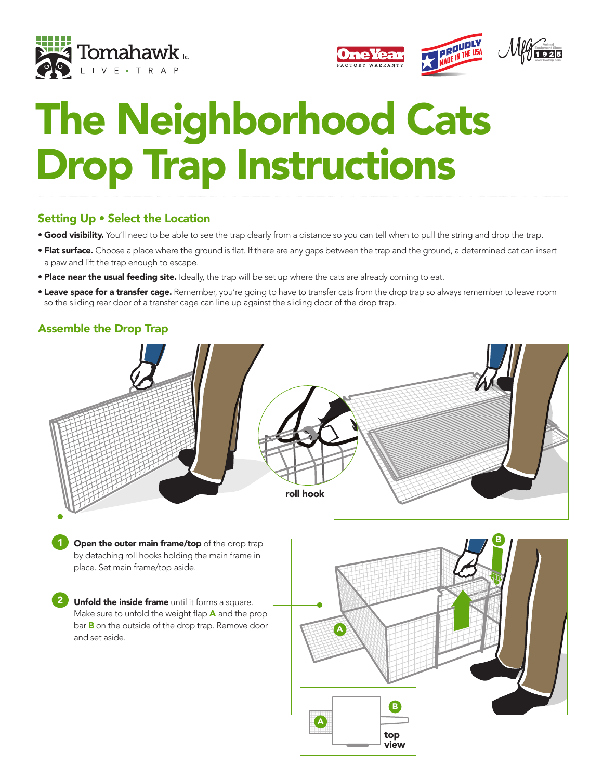



# The Neighborhood Cats Drop Trap Instructions

### Setting Up • Select the Location

- **Good visibility.** You'll need to be able to see the trap clearly from a distance so you can tell when to pull the string and drop the trap.
- **Flat surface.** Choose a place where the ground is flat. If there are any gaps between the trap and the ground, a determined cat can insert a paw and lift the trap enough to escape.
- Place near the usual feeding site. Ideally, the trap will be set up where the cats are already coming to eat.
- **Leave space for a transfer cage.** Remember, you're going to have to transfer cats from the drop trap so always remember to leave room so the sliding rear door of a transfer cage can line up against the sliding door of the drop trap.

# Assemble the Drop Trap

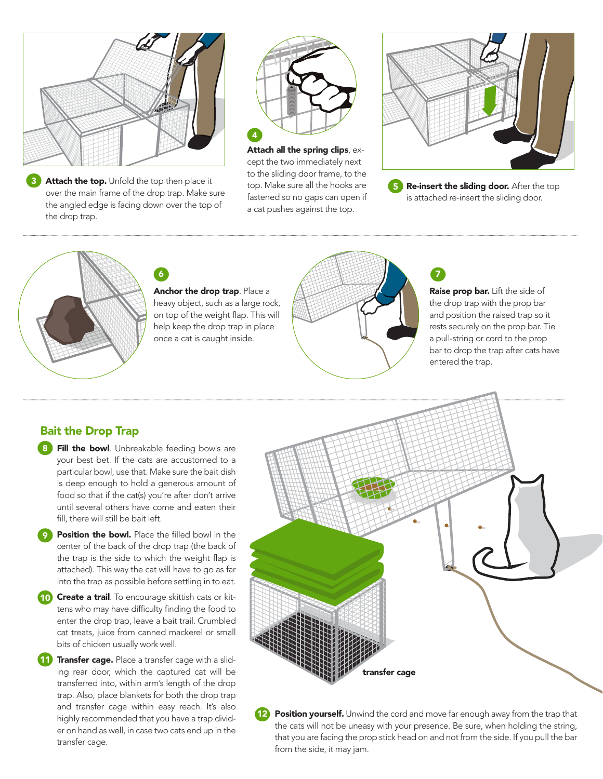

Attach the top. Unfold the top then place it over the main frame of the drop trap. Make sure the angled edge is facing down over the top of the drop trap. 3



top. Make sure all the hooks are **65 Re-insert the sliding c** a cat pushes against the top. Attach all the spring clips, except the two immediately next



fastened so no gaps can open if **the soutier of the set of the set of the sliding** Re-insert the sliding door. After the top is attached re-insert the sliding door.



Anchor the drop trap. Place a heavy object, such as a large rock, on top of the weight flap. This will help keep the drop trap in place once a cat is caught inside.



Raise prop bar. Lift the side of the drop trap with the prop bar and position the raised trap so it rests securely on the prop bar. Tie

### Bait the Drop Trap

- 8 Fill the bowl. Unbreakable feeding bowls are your best bet. If the cats are accustomed to a particular bowl, use that. Make sure the bait dish is deep enough to hold a generous amount of food so that if the cat(s) you're after don't arrive until several others have come and eaten their fill, there will still be bait left.
- **Position the bowl.** Place the filled bowl in the center of the back of the drop trap (the back of the trap is the side to which the weight flap is attached). This way the cat will have to go as far into the trap as possible before settling in to eat.
- 10 Create a trail. To encourage skittish cats or kittens who may have difficulty finding the food to enter the drop trap, leave a bait trail. Crumbled **Problem Kittigs** cat treats, juice from canned mackerel or small bits of chicken usually work well.
- **11** Transfer cage. Place a transfer cage with a sliding rear door, which the captured cat will be transferred into, within arm's length of the drop trap. Also, place blankets for both the drop trap and transfer cage within easy reach. It's also highly recommended that you have a trap divider on hand as well, in case two cats end up in the transfer cage.



12 **Position yourself.** Unwind the cord and move far enough away from the trap that the cats will not be uneasy with your presence. Be sure, when holding the string, that you are facing the prop stick head on and not from the side. If you pull the bar from the side, it may jam.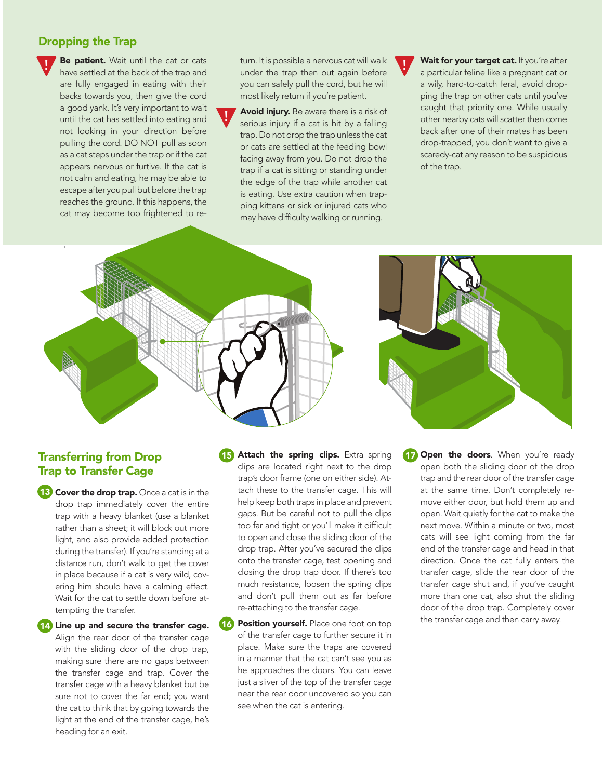#### Dropping the Trap

!

Be patient. Wait until the cat or cats have settled at the back of the trap and are fully engaged in eating with their backs towards you, then give the cord a good yank. It's very important to wait until the cat has settled into eating and not looking in your direction before pulling the cord. DO NOT pull as soon as a cat steps under the trap or if the cat appears nervous or furtive. If the cat is not calm and eating, he may be able to escape after you pull but before the trap reaches the ground. If this happens, the cat may become too frightened to rethere are no gaps between the traps *(photo 6).* Cover the box trap with a towel or sheet

turn. It is possible a nervous cat will walk under the trap then out again before you can safely pull the cord, but he will most likely return if you're patient.

Avoid injury. Be aware there is a risk of serious injury if a cat is hit by a falling trap. Do not drop the trap unless the cat or cats are settled at the feeding bowl facing away from you. Do not drop the trap if a cat is sitting or standing under the edge of the trap while another cat is eating. Use extra caution when trapping kittens or sick or injured cats who may have difficulty walking or running.



Wait for your target cat. If you're after a particular feline like a pregnant cat or a wily, hard-to-catch feral, avoid dropping the trap on other cats until you've caught that priority one. While usually other nearby cats will scatter then come back after one of their mates has been drop-trapped, you don't want to give a scaredy-cat any reason to be suspicious of the trap.



!



### Transferring from Drop Trap to Transfer Cage

**13** Cover the drop trap. Once a cat is in the drop trap immediately cover the entire trap with a heavy blanket (use a blanket rather than a sheet; it will block out more light, and also provide added protection during the transfer). If you're standing at a distance run, don't walk to get the cover in place because if a cat is very wild, covering him should have a calming effect. Wait for the cat to settle down before attempting the transfer.

14) Line up and secure the transfer cage.

Align the rear door of the transfer cage with the sliding door of the drop trap, making sure there are no gaps between the transfer cage and trap. Cover the transfer cage with a heavy blanket but be sure not to cover the far end; you want the cat to think that by going towards the light at the end of the transfer cage, he's heading for an exit.

**15** Attach the spring clips. Extra spring clips are located right next to the drop trap's door frame (one on either side). Attach these to the transfer cage. This will help keep both traps in place and prevent gaps. But be careful not to pull the clips too far and tight or you'll make it difficult to open and close the sliding door of the drop trap. After you've secured the clips onto the transfer cage, test opening and closing the drop trap door. If there's too much resistance, loosen the spring clips and don't pull them out as far before re-attaching to the transfer cage.

Position yourself. Place one foot on top of the transfer cage to further secure it in place. Make sure the traps are covered in a manner that the cat can't see you as he approaches the doors. You can leave just a sliver of the top of the transfer cage near the rear door uncovered so you can see when the cat is entering. 16

Open the doors. When you're ready open both the sliding door of the drop trap and the rear door of the transfer cage at the same time. Don't completely remove either door, but hold them up and open. Wait quietly for the cat to make the next move. Within a minute or two, most cats will see light coming from the far end of the transfer cage and head in that direction. Once the cat fully enters the transfer cage, slide the rear door of the transfer cage shut and, if you've caught more than one cat, also shut the sliding door of the drop trap. Completely cover the transfer cage and then carry away. 17